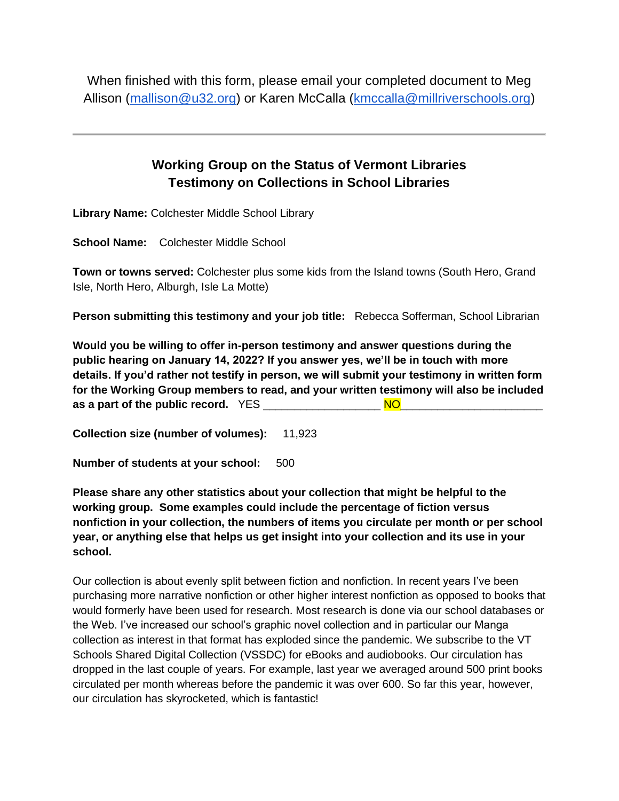When finished with this form, please email your completed document to Meg Allison [\(mallison@u32.org\)](mailto:mallison@u32.org) or Karen McCalla [\(kmccalla@millriverschools.org\)](mailto:kmccalla@millriverschools.org)

## **Working Group on the Status of Vermont Libraries Testimony on Collections in School Libraries**

**Library Name:** Colchester Middle School Library

**School Name:** Colchester Middle School

**Town or towns served:** Colchester plus some kids from the Island towns (South Hero, Grand Isle, North Hero, Alburgh, Isle La Motte)

**Person submitting this testimony and your job title:** Rebecca Sofferman, School Librarian

**Would you be willing to offer in-person testimony and answer questions during the public hearing on January 14, 2022? If you answer yes, we'll be in touch with more details. If you'd rather not testify in person, we will submit your testimony in written form for the Working Group members to read, and your written testimony will also be included as a part of the public record.** YES \_\_\_\_\_\_\_\_\_\_\_\_\_\_\_\_\_\_\_ NO\_\_\_\_\_\_\_\_\_\_\_\_\_\_\_\_\_\_\_\_\_\_\_

**Collection size (number of volumes):** 11,923

**Number of students at your school: 500** 

**Please share any other statistics about your collection that might be helpful to the working group. Some examples could include the percentage of fiction versus nonfiction in your collection, the numbers of items you circulate per month or per school year, or anything else that helps us get insight into your collection and its use in your school.**

Our collection is about evenly split between fiction and nonfiction. In recent years I've been purchasing more narrative nonfiction or other higher interest nonfiction as opposed to books that would formerly have been used for research. Most research is done via our school databases or the Web. I've increased our school's graphic novel collection and in particular our Manga collection as interest in that format has exploded since the pandemic. We subscribe to the VT Schools Shared Digital Collection (VSSDC) for eBooks and audiobooks. Our circulation has dropped in the last couple of years. For example, last year we averaged around 500 print books circulated per month whereas before the pandemic it was over 600. So far this year, however, our circulation has skyrocketed, which is fantastic!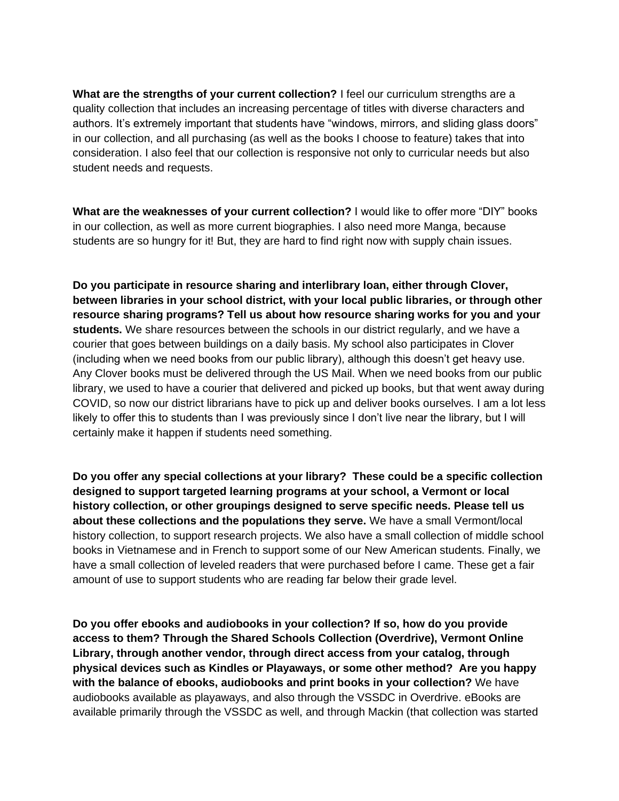**What are the strengths of your current collection?** I feel our curriculum strengths are a quality collection that includes an increasing percentage of titles with diverse characters and authors. It's extremely important that students have "windows, mirrors, and sliding glass doors" in our collection, and all purchasing (as well as the books I choose to feature) takes that into consideration. I also feel that our collection is responsive not only to curricular needs but also student needs and requests.

**What are the weaknesses of your current collection?** I would like to offer more "DIY" books in our collection, as well as more current biographies. I also need more Manga, because students are so hungry for it! But, they are hard to find right now with supply chain issues.

**Do you participate in resource sharing and interlibrary loan, either through Clover, between libraries in your school district, with your local public libraries, or through other resource sharing programs? Tell us about how resource sharing works for you and your students.** We share resources between the schools in our district regularly, and we have a courier that goes between buildings on a daily basis. My school also participates in Clover (including when we need books from our public library), although this doesn't get heavy use. Any Clover books must be delivered through the US Mail. When we need books from our public library, we used to have a courier that delivered and picked up books, but that went away during COVID, so now our district librarians have to pick up and deliver books ourselves. I am a lot less likely to offer this to students than I was previously since I don't live near the library, but I will certainly make it happen if students need something.

**Do you offer any special collections at your library? These could be a specific collection designed to support targeted learning programs at your school, a Vermont or local history collection, or other groupings designed to serve specific needs. Please tell us about these collections and the populations they serve.** We have a small Vermont/local history collection, to support research projects. We also have a small collection of middle school books in Vietnamese and in French to support some of our New American students. Finally, we have a small collection of leveled readers that were purchased before I came. These get a fair amount of use to support students who are reading far below their grade level.

**Do you offer ebooks and audiobooks in your collection? If so, how do you provide access to them? Through the Shared Schools Collection (Overdrive), Vermont Online Library, through another vendor, through direct access from your catalog, through physical devices such as Kindles or Playaways, or some other method? Are you happy with the balance of ebooks, audiobooks and print books in your collection?** We have audiobooks available as playaways, and also through the VSSDC in Overdrive. eBooks are available primarily through the VSSDC as well, and through Mackin (that collection was started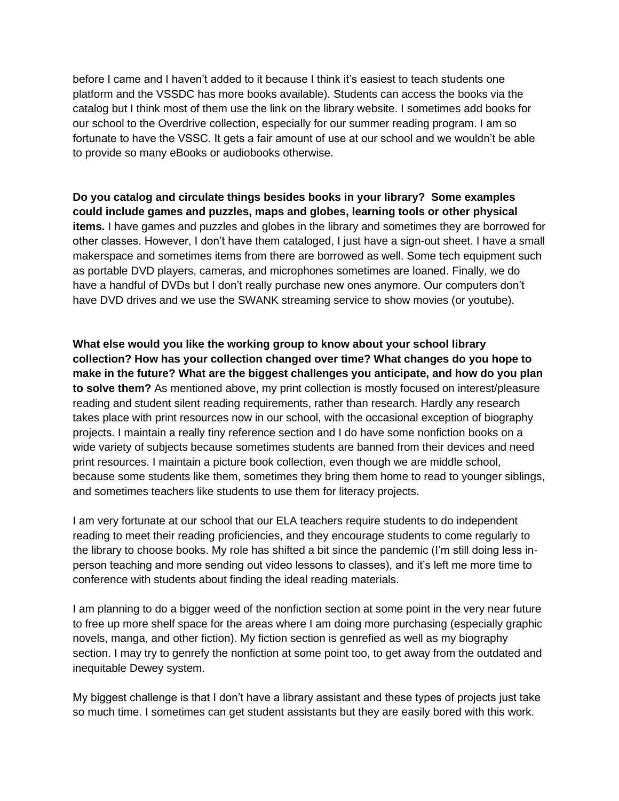before I came and I haven't added to it because I think it's easiest to teach students one platform and the VSSDC has more books available). Students can access the books via the catalog but I think most of them use the link on the library website. I sometimes add books for our school to the Overdrive collection, especially for our summer reading program. I am so fortunate to have the VSSC. It gets a fair amount of use at our school and we wouldn't be able to provide so many eBooks or audiobooks otherwise.

**Do you catalog and circulate things besides books in your library? Some examples could include games and puzzles, maps and globes, learning tools or other physical items.** I have games and puzzles and globes in the library and sometimes they are borrowed for other classes. However, I don't have them cataloged, I just have a sign-out sheet. I have a small makerspace and sometimes items from there are borrowed as well. Some tech equipment such as portable DVD players, cameras, and microphones sometimes are loaned. Finally, we do have a handful of DVDs but I don't really purchase new ones anymore. Our computers don't have DVD drives and we use the SWANK streaming service to show movies (or youtube).

**What else would you like the working group to know about your school library collection? How has your collection changed over time? What changes do you hope to make in the future? What are the biggest challenges you anticipate, and how do you plan to solve them?** As mentioned above, my print collection is mostly focused on interest/pleasure reading and student silent reading requirements, rather than research. Hardly any research takes place with print resources now in our school, with the occasional exception of biography projects. I maintain a really tiny reference section and I do have some nonfiction books on a wide variety of subjects because sometimes students are banned from their devices and need print resources. I maintain a picture book collection, even though we are middle school, because some students like them, sometimes they bring them home to read to younger siblings, and sometimes teachers like students to use them for literacy projects.

I am very fortunate at our school that our ELA teachers require students to do independent reading to meet their reading proficiencies, and they encourage students to come regularly to the library to choose books. My role has shifted a bit since the pandemic (I'm still doing less inperson teaching and more sending out video lessons to classes), and it's left me more time to conference with students about finding the ideal reading materials.

I am planning to do a bigger weed of the nonfiction section at some point in the very near future to free up more shelf space for the areas where I am doing more purchasing (especially graphic novels, manga, and other fiction). My fiction section is genrefied as well as my biography section. I may try to genrefy the nonfiction at some point too, to get away from the outdated and inequitable Dewey system.

My biggest challenge is that I don't have a library assistant and these types of projects just take so much time. I sometimes can get student assistants but they are easily bored with this work.